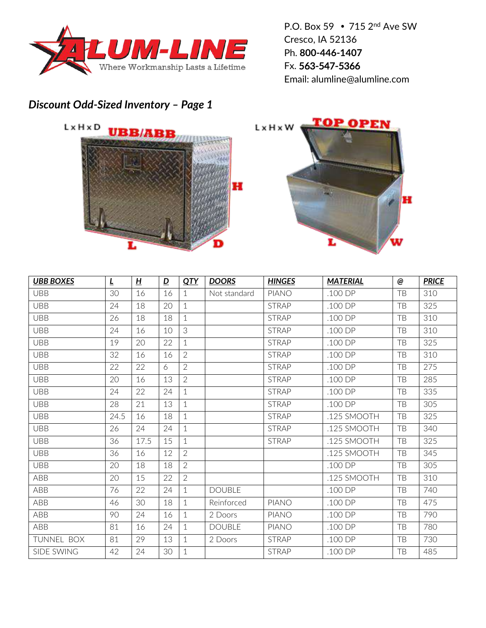

P.O. Box 59 715 2nd Ave SW Cresco, IA 52136 Ph. **800-446-1407** Fx. 563-547-5366 Email: alumline@alumline.com

## *Discount Odd-Sized Inventory – Page 1*



| <b>UBB BOXES</b>  | $\overline{\mathsf{r}}$ | H    | $\overline{\mathbf{D}}$ | QTY            | <b>DOORS</b>  | <b>HINGES</b> | <b>MATERIAL</b>    | @         | <b>PRICE</b> |
|-------------------|-------------------------|------|-------------------------|----------------|---------------|---------------|--------------------|-----------|--------------|
| <b>UBB</b>        | 30                      | 16   | 16                      | 1              | Not standard  | <b>PIANO</b>  | .100 DP            | TB        | 310          |
| <b>UBB</b>        | 24                      | 18   | 20                      | $\mathbf 1$    |               | <b>STRAP</b>  | $.100$ DP          | TB        | 325          |
| <b>UBB</b>        | 26                      | 18   | 18                      | $\mathbf 1$    |               | <b>STRAP</b>  | .100 DP            | TB        | 310          |
| <b>UBB</b>        | 24                      | 16   | 10                      | 3              |               | <b>STRAP</b>  | .100 DP            | TB        | 310          |
| <b>UBB</b>        | 19                      | 20   | 22                      | $\mathbf 1$    |               | <b>STRAP</b>  | .100 DP            | TB        | 325          |
| <b>UBB</b>        | 32                      | 16   | 16                      | $\overline{2}$ |               | <b>STRAP</b>  | .100 DP            | TB        | 310          |
| <b>UBB</b>        | 22                      | 22   | 6                       | $\overline{2}$ |               | <b>STRAP</b>  | .100 DP            | TB        | 275          |
| <b>UBB</b>        | 20                      | 16   | 13                      | $\overline{2}$ |               | <b>STRAP</b>  | .100 DP            | TB        | 285          |
| <b>UBB</b>        | 24                      | 22   | 24                      | $\mathbf{1}$   |               | <b>STRAP</b>  | .100 DP            | TB        | 335          |
| <b>UBB</b>        | 28                      | 21   | 13                      | $\mathbf 1$    |               | <b>STRAP</b>  | .100 DP            | TB        | 305          |
| <b>UBB</b>        | 24.5                    | 16   | 18                      | 1              |               | <b>STRAP</b>  | .125 SMOOTH        | TB        | 325          |
| <b>UBB</b>        | 26                      | 24   | 24                      | $\mathbf 1$    |               | <b>STRAP</b>  | .125 SMOOTH        | TB        | 340          |
| <b>UBB</b>        | 36                      | 17.5 | 15                      | $\mathbf 1$    |               | <b>STRAP</b>  | .125 SMOOTH        | TB        | 325          |
| <b>UBB</b>        | 36                      | 16   | 12                      | $\overline{2}$ |               |               | .125 SMOOTH        | TB        | 345          |
| <b>UBB</b>        | 20                      | 18   | 18                      | $\overline{2}$ |               |               | .100 <sub>DP</sub> | TB        | 305          |
| ABB               | 20                      | 15   | 22                      | $\overline{2}$ |               |               | .125 SMOOTH        | TB        | 310          |
| ABB               | 76                      | 22   | 24                      | $\mathbf 1$    | <b>DOUBLE</b> |               | $.100$ DP          | TB        | 740          |
| ABB               | 46                      | 30   | 18                      | $\mathbf 1$    | Reinforced    | <b>PIANO</b>  | .100 DP            | TB        | 475          |
| ABB               | 90                      | 24   | 16                      | $\mathbf 1$    | 2 Doors       | <b>PIANO</b>  | .100 DP            | TB        | 790          |
| ABB               | 81                      | 16   | 24                      | 1              | <b>DOUBLE</b> | <b>PIANO</b>  | .100 DP            | TB        | 780          |
| TUNNEL BOX        | 81                      | 29   | 13                      | 1              | 2 Doors       | <b>STRAP</b>  | .100 DP            | <b>TB</b> | 730          |
| <b>SIDE SWING</b> | 42                      | 24   | 30                      | $\mathbf 1$    |               | <b>STRAP</b>  | .100 DP            | TB        | 485          |